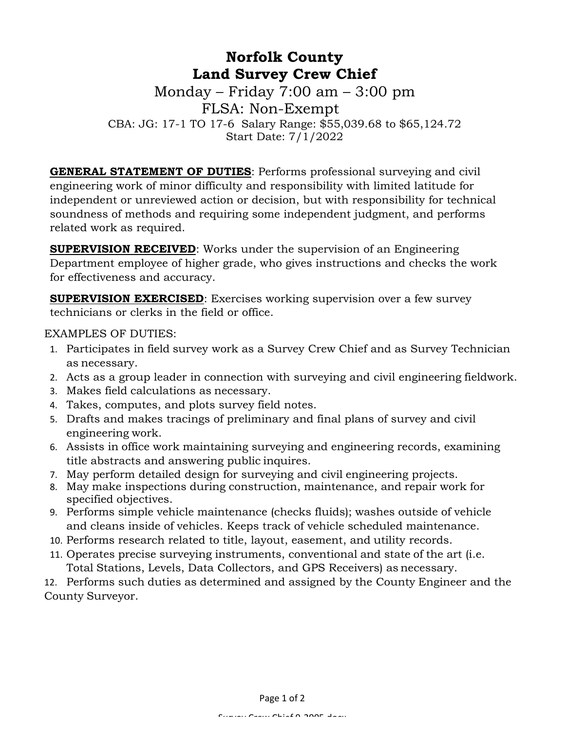# **Norfolk County Land Survey Crew Chief**

Monday – Friday 7:00 am – 3:00 pm FLSA: Non-Exempt CBA: JG: 17-1 TO 17-6 Salary Range: \$55,039.68 to \$65,124.72 Start Date: 7/1/2022

**GENERAL STATEMENT OF DUTIES**: Performs professional surveying and civil engineering work of minor difficulty and responsibility with limited latitude for independent or unreviewed action or decision, but with responsibility for technical soundness of methods and requiring some independent judgment, and performs related work as required.

**SUPERVISION RECEIVED:** Works under the supervision of an Engineering Department employee of higher grade, who gives instructions and checks the work for effectiveness and accuracy.

**SUPERVISION EXERCISED:** Exercises working supervision over a few survey technicians or clerks in the field or office.

EXAMPLES OF DUTIES:

- 1. Participates in field survey work as a Survey Crew Chief and as Survey Technician as necessary.
- 2. Acts as a group leader in connection with surveying and civil engineering fieldwork.
- 3. Makes field calculations as necessary.
- 4. Takes, computes, and plots survey field notes.
- 5. Drafts and makes tracings of preliminary and final plans of survey and civil engineering work.
- 6. Assists in office work maintaining surveying and engineering records, examining title abstracts and answering public inquires.
- 7. May perform detailed design for surveying and civil engineering projects.
- 8. May make inspections during construction, maintenance, and repair work for specified objectives.
- 9. Performs simple vehicle maintenance (checks fluids); washes outside of vehicle and cleans inside of vehicles. Keeps track of vehicle scheduled maintenance.
- 10. Performs research related to title, layout, easement, and utility records.
- 11. Operates precise surveying instruments, conventional and state of the art (i.e. Total Stations, Levels, Data Collectors, and GPS Receivers) as necessary.

12. Performs such duties as determined and assigned by the County Engineer and the County Surveyor.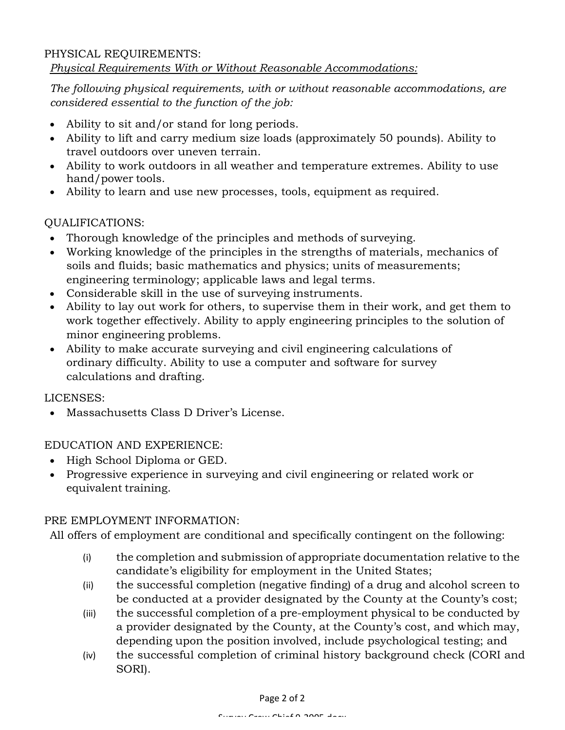#### PHYSICAL REQUIREMENTS: *Physical Requirements With or Without Reasonable Accommodations:*

*The following physical requirements, with or without reasonable accommodations, are considered essential to the function of the job:*

- Ability to sit and/or stand for long periods.
- Ability to lift and carry medium size loads (approximately 50 pounds). Ability to travel outdoors over uneven terrain.
- Ability to work outdoors in all weather and temperature extremes. Ability to use hand/power tools.
- Ability to learn and use new processes, tools, equipment as required.

## QUALIFICATIONS:

- Thorough knowledge of the principles and methods of surveying.
- Working knowledge of the principles in the strengths of materials, mechanics of soils and fluids; basic mathematics and physics; units of measurements; engineering terminology; applicable laws and legal terms.
- Considerable skill in the use of surveying instruments.
- Ability to lay out work for others, to supervise them in their work, and get them to work together effectively. Ability to apply engineering principles to the solution of minor engineering problems.
- Ability to make accurate surveying and civil engineering calculations of ordinary difficulty. Ability to use a computer and software for survey calculations and drafting.

LICENSES:

• Massachusetts Class D Driver's License.

EDUCATION AND EXPERIENCE:

- High School Diploma or GED.
- Progressive experience in surveying and civil engineering or related work or equivalent training.

### PRE EMPLOYMENT INFORMATION:

All offers of employment are conditional and specifically contingent on the following:

- (i) the completion and submission of appropriate documentation relative to the candidate's eligibility for employment in the United States;
- (ii) the successful completion (negative finding) of a drug and alcohol screen to be conducted at a provider designated by the County at the County's cost;
- (iii) the successful completion of a pre-employment physical to be conducted by a provider designated by the County, at the County's cost, and which may, depending upon the position involved, include psychological testing; and
- (iv) the successful completion of criminal history background check (CORI and SORI).